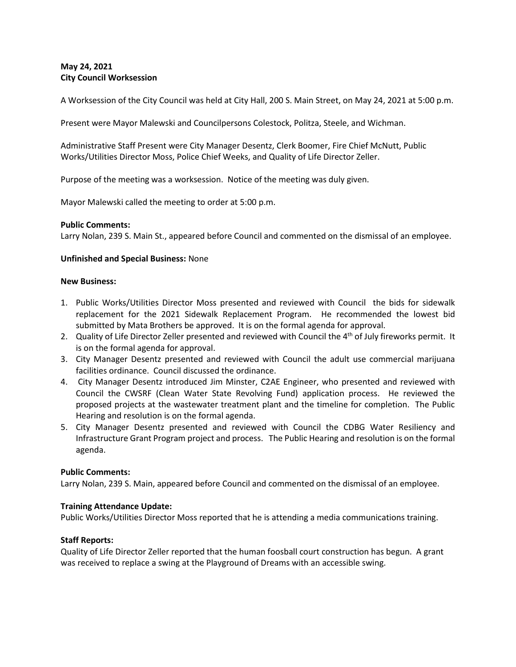# **May 24, 2021 City Council Worksession**

A Worksession of the City Council was held at City Hall, 200 S. Main Street, on May 24, 2021 at 5:00 p.m.

Present were Mayor Malewski and Councilpersons Colestock, Politza, Steele, and Wichman.

Administrative Staff Present were City Manager Desentz, Clerk Boomer, Fire Chief McNutt, Public Works/Utilities Director Moss, Police Chief Weeks, and Quality of Life Director Zeller.

Purpose of the meeting was a worksession. Notice of the meeting was duly given.

Mayor Malewski called the meeting to order at 5:00 p.m.

### **Public Comments:**

Larry Nolan, 239 S. Main St., appeared before Council and commented on the dismissal of an employee.

### **Unfinished and Special Business:** None

#### **New Business:**

- 1. Public Works/Utilities Director Moss presented and reviewed with Council the bids for sidewalk replacement for the 2021 Sidewalk Replacement Program. He recommended the lowest bid submitted by Mata Brothers be approved. It is on the formal agenda for approval.
- 2. Quality of Life Director Zeller presented and reviewed with Council the  $4<sup>th</sup>$  of July fireworks permit. It is on the formal agenda for approval.
- 3. City Manager Desentz presented and reviewed with Council the adult use commercial marijuana facilities ordinance. Council discussed the ordinance.
- 4. City Manager Desentz introduced Jim Minster, C2AE Engineer, who presented and reviewed with Council the CWSRF (Clean Water State Revolving Fund) application process. He reviewed the proposed projects at the wastewater treatment plant and the timeline for completion. The Public Hearing and resolution is on the formal agenda.
- 5. City Manager Desentz presented and reviewed with Council the CDBG Water Resiliency and Infrastructure Grant Program project and process. The Public Hearing and resolution is on the formal agenda.

#### **Public Comments:**

Larry Nolan, 239 S. Main, appeared before Council and commented on the dismissal of an employee.

## **Training Attendance Update:**

Public Works/Utilities Director Moss reported that he is attending a media communications training.

## **Staff Reports:**

Quality of Life Director Zeller reported that the human foosball court construction has begun. A grant was received to replace a swing at the Playground of Dreams with an accessible swing.